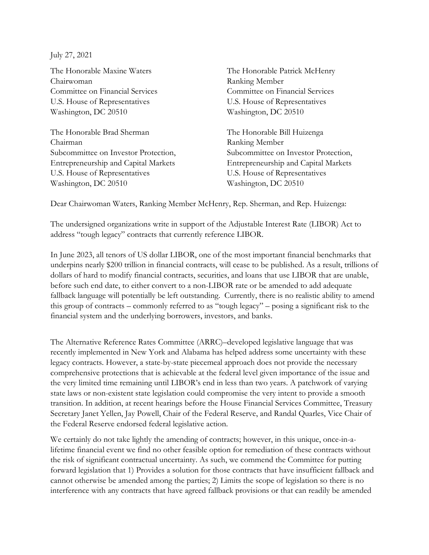July 27, 2021

Chairwoman Ranking Member Committee on Financial Services Committee on Financial Services U.S. House of Representatives U.S. House of Representatives Washington, DC 20510 Washington, DC 20510

The Honorable Brad Sherman The Honorable Bill Huizenga Chairman Ranking Member U.S. House of Representatives U.S. House of Representatives Washington, DC 20510 Washington, DC 20510

The Honorable Maxine Waters The Honorable Patrick McHenry

Subcommittee on Investor Protection, Subcommittee on Investor Protection, Entrepreneurship and Capital Markets Entrepreneurship and Capital Markets

Dear Chairwoman Waters, Ranking Member McHenry, Rep. Sherman, and Rep. Huizenga:

The undersigned organizations write in support of the Adjustable Interest Rate (LIBOR) Act to address "tough legacy" contracts that currently reference LIBOR.

In June 2023, all tenors of US dollar LIBOR, one of the most important financial benchmarks that underpins nearly \$200 trillion in financial contracts, will cease to be published. As a result, trillions of dollars of hard to modify financial contracts, securities, and loans that use LIBOR that are unable, before such end date, to either convert to a non-LIBOR rate or be amended to add adequate fallback language will potentially be left outstanding. Currently, there is no realistic ability to amend this group of contracts – commonly referred to as "tough legacy" – posing a significant risk to the financial system and the underlying borrowers, investors, and banks.

The Alternative Reference Rates Committee (ARRC)–developed legislative language that was recently implemented in New York and Alabama has helped address some uncertainty with these legacy contracts. However, a state-by-state piecemeal approach does not provide the necessary comprehensive protections that is achievable at the federal level given importance of the issue and the very limited time remaining until LIBOR's end in less than two years. A patchwork of varying state laws or non-existent state legislation could compromise the very intent to provide a smooth transition. In addition, at recent hearings before the House Financial Services Committee, Treasury Secretary Janet Yellen, Jay Powell, Chair of the Federal Reserve, and Randal Quarles, Vice Chair of the Federal Reserve endorsed federal legislative action.

We certainly do not take lightly the amending of contracts; however, in this unique, once-in-alifetime financial event we find no other feasible option for remediation of these contracts without the risk of significant contractual uncertainty. As such, we commend the Committee for putting forward legislation that 1) Provides a solution for those contracts that have insufficient fallback and cannot otherwise be amended among the parties; 2) Limits the scope of legislation so there is no interference with any contracts that have agreed fallback provisions or that can readily be amended